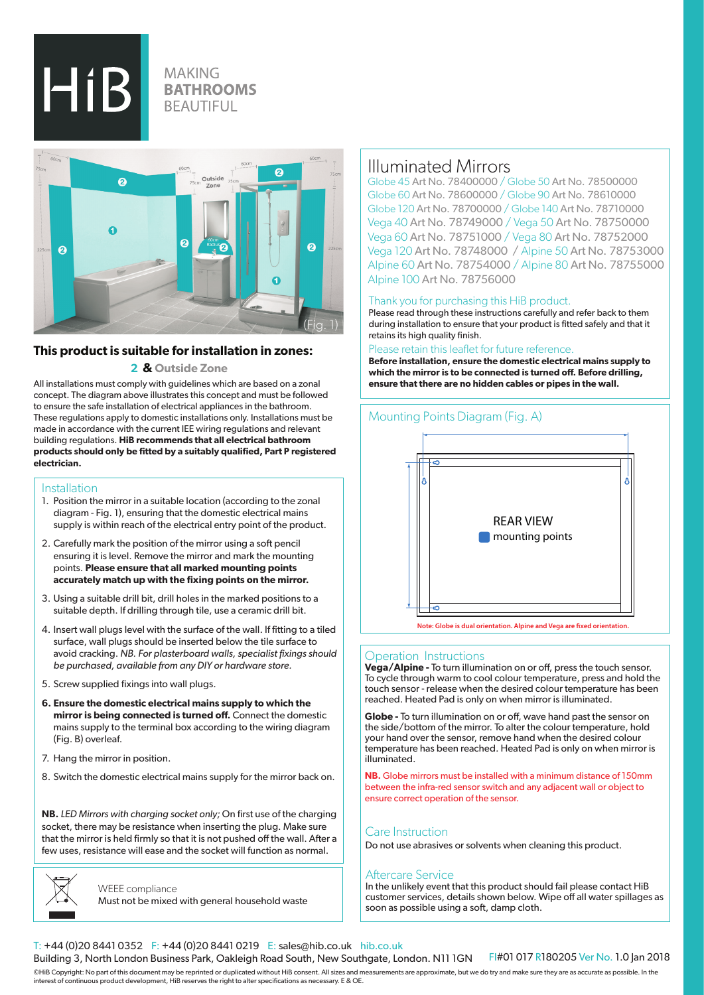$HiB$ 

## **MAKING BATHROOMS BEAUTIFUL**



### **This product is suitable for installation in zones:**

 **2 & Outside Zone**

All installations must comply with guidelines which are based on a zonal concept. The diagram above illustrates this concept and must be followed to ensure the safe installation of electrical appliances in the bathroom. These regulations apply to domestic installations only. Installations must be made in accordance with the current IEE wiring regulations and relevant building regulations. **HiB recommends that all electrical bathroom products should only be fitted by a suitably qualified, Part P registered electrician.**

#### Installation

- 1. Position the mirror in a suitable location (according to the zonal diagram - Fig. 1), ensuring that the domestic electrical mains supply is within reach of the electrical entry point of the product.
- 2. Carefully mark the position of the mirror using a soft pencil ensuring it is level. Remove the mirror and mark the mounting points. **Please ensure that all marked mounting points accurately match up with the fixing points on the mirror.**
- 3. Using a suitable drill bit, drill holes in the marked positions to a suitable depth. If drilling through tile, use a ceramic drill bit.
- 4. Insert wall plugs level with the surface of the wall. If fitting to a tiled surface, wall plugs should be inserted below the tile surface to avoid cracking. *NB. For plasterboard walls, specialist fixings should be purchased, available from any DIY or hardware store.*
- 5. Screw supplied fixings into wall plugs.
- **6. Ensure the domestic electrical mains supply to which the mirror is being connected is turned off.** Connect the domestic mains supply to the terminal box according to the wiring diagram (Fig. B) overleaf.
- 7. Hang the mirror in position.
- 8. Switch the domestic electrical mains supply for the mirror back on.

**NB.** *LED Mirrors with charging socket only;* On first use of the charging socket, there may be resistance when inserting the plug. Make sure that the mirror is held firmly so that it is not pushed off the wall. After a few uses, resistance will ease and the socket will function as normal.



WEEE compliance Must not be mixed with general household waste

## Illuminated Mirrors

Globe 45 Art No. 78400000 / Globe 50 Art No. 78500000 Globe 60 Art No. 78600000 / Globe 90 Art No. 78610000 Globe 120 Art No. 78700000 / Globe 140 Art No. 78710000 Vega 40 Art No. 78749000 / Vega 50 Art No. 78750000 Vega 60 Art No. 78751000 / Vega 80 Art No. 78752000 Vega 120 Art No. 78748000 / Alpine 50 Art No. 78753000 Alpine 60 Art No. 78754000 / Alpine 80 Art No. 78755000 Alpine 100 Art No. 78756000

#### Thank you for purchasing this HiB product.

Please read through these instructions carefully and refer back to them during installation to ensure that your product is fitted safely and that it retains its high quality finish.

Please retain this leaflet for future reference. **Before installation, ensure the domestic electrical mains supply to** 

**which the mirror is to be connected is turned off. Before drilling, ensure that there are no hidden cables or pipes in the wall.**

#### Mounting Points Diagram (Fig. A)



**Note: Globe is dual orientation. Alpine and Vega are fixed orientation.**

#### Operation Instructions

**Vega/Alpine -** To turn illumination on or off, press the touch sensor. To cycle through warm to cool colour temperature, press and hold the touch sensor - release when the desired colour temperature has been reached. Heated Pad is only on when mirror is illuminated.

**Globe -** To turn illumination on or off, wave hand past the sensor on the side/bottom of the mirror. To alter the colour temperature, hold your hand over the sensor, remove hand when the desired colour temperature has been reached. Heated Pad is only on when mirror is illuminated.

**NB.** Globe mirrors must be installed with a minimum distance of 150mm between the infra-red sensor switch and any adjacent wall or object to ensure correct operation of the sensor.

#### Care Instruction

Do not use abrasives or solvents when cleaning this product.

#### Aftercare Service

In the unlikely event that this product should fail please contact HiB customer services, details shown below. Wipe off all water spillages as soon as possible using a soft, damp cloth.

#### T: +44 (0)20 8441 0352 F: +44 (0)20 8441 0219 E: sales@hib.co.uk hib.co.uk

Building 3, North London Business Park, Oakleigh Road South, New Southgate, London. N11 1GN FI#01 017 R180205 Ver No. 1.0 Jan 2018

©HiB Copyright: No part of this document may be reprinted or duplicated without HiB consent. All sizes and measurements are approximate, but we do try and make sure they are as accurate as possible. In the interest of continuous product development, HiB reserves the right to alter specifications as necessary. E & OE.